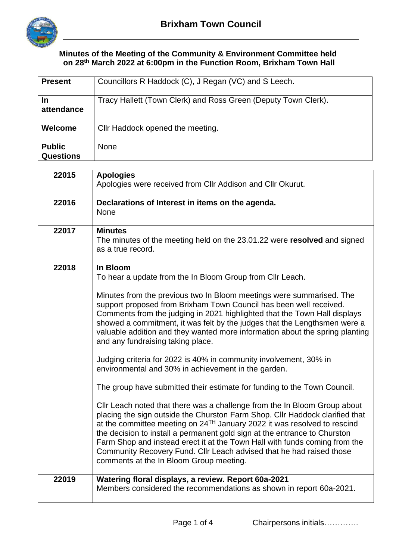

## **Minutes of the Meeting of the Community & Environment Committee held on 28 th March 2022 at 6:00pm in the Function Room, Brixham Town Hall**

| <b>Present</b>                    | Councillors R Haddock (C), J Regan (VC) and S Leech.           |
|-----------------------------------|----------------------------------------------------------------|
| <b>In</b><br>attendance           | Tracy Hallett (Town Clerk) and Ross Green (Deputy Town Clerk). |
| Welcome                           | Cllr Haddock opened the meeting.                               |
| <b>Public</b><br><b>Questions</b> | <b>None</b>                                                    |

| 22015 | <b>Apologies</b><br>Apologies were received from CIIr Addison and CIIr Okurut.                                                                                                                                                                                                                                                                                                                                                                                                                                                                                                                                                                                                                                                                                                                                                                                                                                                                                                                                                                                                                                                                                                                                                         |  |  |
|-------|----------------------------------------------------------------------------------------------------------------------------------------------------------------------------------------------------------------------------------------------------------------------------------------------------------------------------------------------------------------------------------------------------------------------------------------------------------------------------------------------------------------------------------------------------------------------------------------------------------------------------------------------------------------------------------------------------------------------------------------------------------------------------------------------------------------------------------------------------------------------------------------------------------------------------------------------------------------------------------------------------------------------------------------------------------------------------------------------------------------------------------------------------------------------------------------------------------------------------------------|--|--|
| 22016 | Declarations of Interest in items on the agenda.<br><b>None</b>                                                                                                                                                                                                                                                                                                                                                                                                                                                                                                                                                                                                                                                                                                                                                                                                                                                                                                                                                                                                                                                                                                                                                                        |  |  |
| 22017 | <b>Minutes</b><br>The minutes of the meeting held on the 23.01.22 were resolved and signed<br>as a true record.                                                                                                                                                                                                                                                                                                                                                                                                                                                                                                                                                                                                                                                                                                                                                                                                                                                                                                                                                                                                                                                                                                                        |  |  |
| 22018 | In Bloom<br>To hear a update from the In Bloom Group from Cllr Leach.<br>Minutes from the previous two In Bloom meetings were summarised. The<br>support proposed from Brixham Town Council has been well received.<br>Comments from the judging in 2021 highlighted that the Town Hall displays<br>showed a commitment, it was felt by the judges that the Lengthsmen were a<br>valuable addition and they wanted more information about the spring planting<br>and any fundraising taking place.<br>Judging criteria for 2022 is 40% in community involvement, 30% in<br>environmental and 30% in achievement in the garden.<br>The group have submitted their estimate for funding to the Town Council.<br>Cllr Leach noted that there was a challenge from the In Bloom Group about<br>placing the sign outside the Churston Farm Shop. Cllr Haddock clarified that<br>at the committee meeting on $24^{TH}$ January 2022 it was resolved to rescind<br>the decision to install a permanent gold sign at the entrance to Churston<br>Farm Shop and instead erect it at the Town Hall with funds coming from the<br>Community Recovery Fund. Cllr Leach advised that he had raised those<br>comments at the In Bloom Group meeting. |  |  |
| 22019 | Watering floral displays, a review. Report 60a-2021<br>Members considered the recommendations as shown in report 60a-2021.                                                                                                                                                                                                                                                                                                                                                                                                                                                                                                                                                                                                                                                                                                                                                                                                                                                                                                                                                                                                                                                                                                             |  |  |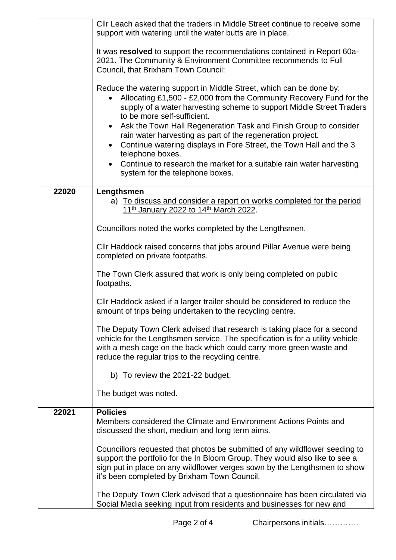|                                                          | CIIr Leach asked that the traders in Middle Street continue to receive some<br>support with watering until the water butts are in place.                                                                                                                                                                                                                                                                                                                                                                                                                                                              |  |  |  |  |
|----------------------------------------------------------|-------------------------------------------------------------------------------------------------------------------------------------------------------------------------------------------------------------------------------------------------------------------------------------------------------------------------------------------------------------------------------------------------------------------------------------------------------------------------------------------------------------------------------------------------------------------------------------------------------|--|--|--|--|
|                                                          | It was resolved to support the recommendations contained in Report 60a-<br>2021. The Community & Environment Committee recommends to Full<br>Council, that Brixham Town Council:                                                                                                                                                                                                                                                                                                                                                                                                                      |  |  |  |  |
|                                                          | Reduce the watering support in Middle Street, which can be done by:<br>Allocating £1,500 - £2,000 from the Community Recovery Fund for the<br>supply of a water harvesting scheme to support Middle Street Traders<br>to be more self-sufficient.<br>Ask the Town Hall Regeneration Task and Finish Group to consider<br>$\bullet$<br>rain water harvesting as part of the regeneration project.<br>Continue watering displays in Fore Street, the Town Hall and the 3<br>telephone boxes.<br>Continue to research the market for a suitable rain water harvesting<br>system for the telephone boxes. |  |  |  |  |
| 22020                                                    | Lengthsmen<br>a) To discuss and consider a report on works completed for the period<br>11 <sup>th</sup> January 2022 to 14 <sup>th</sup> March 2022.                                                                                                                                                                                                                                                                                                                                                                                                                                                  |  |  |  |  |
| Councillors noted the works completed by the Lengthsmen. |                                                                                                                                                                                                                                                                                                                                                                                                                                                                                                                                                                                                       |  |  |  |  |
|                                                          | Cllr Haddock raised concerns that jobs around Pillar Avenue were being<br>completed on private footpaths.                                                                                                                                                                                                                                                                                                                                                                                                                                                                                             |  |  |  |  |
|                                                          | The Town Clerk assured that work is only being completed on public<br>footpaths.                                                                                                                                                                                                                                                                                                                                                                                                                                                                                                                      |  |  |  |  |
|                                                          | Cllr Haddock asked if a larger trailer should be considered to reduce the<br>amount of trips being undertaken to the recycling centre.                                                                                                                                                                                                                                                                                                                                                                                                                                                                |  |  |  |  |
|                                                          | The Deputy Town Clerk advised that research is taking place for a second<br>vehicle for the Lengthsmen service. The specification is for a utility vehicle<br>with a mesh cage on the back which could carry more green waste and<br>reduce the regular trips to the recycling centre.                                                                                                                                                                                                                                                                                                                |  |  |  |  |
|                                                          | b) To review the 2021-22 budget.                                                                                                                                                                                                                                                                                                                                                                                                                                                                                                                                                                      |  |  |  |  |
|                                                          | The budget was noted.                                                                                                                                                                                                                                                                                                                                                                                                                                                                                                                                                                                 |  |  |  |  |
| 22021                                                    | <b>Policies</b><br>Members considered the Climate and Environment Actions Points and<br>discussed the short, medium and long term aims.                                                                                                                                                                                                                                                                                                                                                                                                                                                               |  |  |  |  |
|                                                          | Councillors requested that photos be submitted of any wildflower seeding to<br>support the portfolio for the In Bloom Group. They would also like to see a<br>sign put in place on any wildflower verges sown by the Lengthsmen to show<br>it's been completed by Brixham Town Council.                                                                                                                                                                                                                                                                                                               |  |  |  |  |
|                                                          | The Deputy Town Clerk advised that a questionnaire has been circulated via<br>Social Media seeking input from residents and businesses for new and                                                                                                                                                                                                                                                                                                                                                                                                                                                    |  |  |  |  |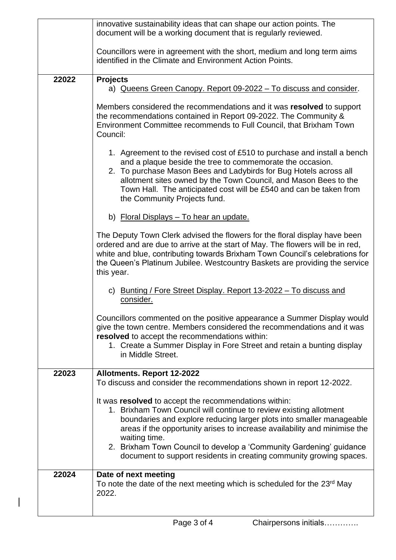|       | innovative sustainability ideas that can shape our action points. The<br>document will be a working document that is regularly reviewed.                                                                                                                                                                                                                                                                                                        |  |  |  |
|-------|-------------------------------------------------------------------------------------------------------------------------------------------------------------------------------------------------------------------------------------------------------------------------------------------------------------------------------------------------------------------------------------------------------------------------------------------------|--|--|--|
|       | Councillors were in agreement with the short, medium and long term aims<br>identified in the Climate and Environment Action Points.                                                                                                                                                                                                                                                                                                             |  |  |  |
| 22022 | <b>Projects</b>                                                                                                                                                                                                                                                                                                                                                                                                                                 |  |  |  |
|       | a) Queens Green Canopy. Report 09-2022 - To discuss and consider.                                                                                                                                                                                                                                                                                                                                                                               |  |  |  |
|       | Members considered the recommendations and it was resolved to support<br>the recommendations contained in Report 09-2022. The Community &<br>Environment Committee recommends to Full Council, that Brixham Town<br>Council:                                                                                                                                                                                                                    |  |  |  |
|       | 1. Agreement to the revised cost of £510 to purchase and install a bench<br>and a plaque beside the tree to commemorate the occasion.<br>2. To purchase Mason Bees and Ladybirds for Bug Hotels across all<br>allotment sites owned by the Town Council, and Mason Bees to the<br>Town Hall. The anticipated cost will be £540 and can be taken from<br>the Community Projects fund.                                                            |  |  |  |
|       | b) Floral Displays - To hear an update.                                                                                                                                                                                                                                                                                                                                                                                                         |  |  |  |
|       | The Deputy Town Clerk advised the flowers for the floral display have been<br>ordered and are due to arrive at the start of May. The flowers will be in red,<br>white and blue, contributing towards Brixham Town Council's celebrations for<br>the Queen's Platinum Jubilee. Westcountry Baskets are providing the service<br>this year.                                                                                                       |  |  |  |
|       | c) Bunting / Fore Street Display. Report 13-2022 - To discuss and<br>consider.                                                                                                                                                                                                                                                                                                                                                                  |  |  |  |
|       | Councillors commented on the positive appearance a Summer Display would<br>give the town centre. Members considered the recommendations and it was<br>resolved to accept the recommendations within:<br>1. Create a Summer Display in Fore Street and retain a bunting display<br>in Middle Street.                                                                                                                                             |  |  |  |
| 22023 | <b>Allotments. Report 12-2022</b><br>To discuss and consider the recommendations shown in report 12-2022.                                                                                                                                                                                                                                                                                                                                       |  |  |  |
|       | It was resolved to accept the recommendations within:<br>1. Brixham Town Council will continue to review existing allotment<br>boundaries and explore reducing larger plots into smaller manageable<br>areas if the opportunity arises to increase availability and minimise the<br>waiting time.<br>2. Brixham Town Council to develop a 'Community Gardening' guidance<br>document to support residents in creating community growing spaces. |  |  |  |
| 22024 | Date of next meeting<br>To note the date of the next meeting which is scheduled for the 23 <sup>rd</sup> May<br>2022.                                                                                                                                                                                                                                                                                                                           |  |  |  |

 $\overline{\phantom{a}}$